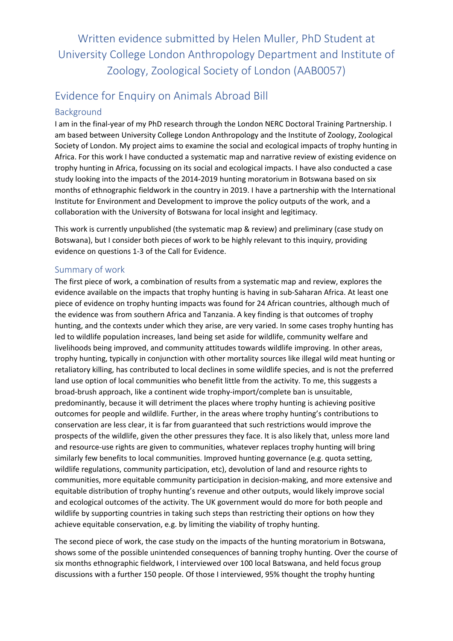Written evidence submitted by Helen Muller, PhD Student at University College London Anthropology Department and Institute of Zoology, Zoological Society of London (AAB0057)

# Evidence for Enquiry on Animals Abroad Bill

## Background

I am in the final-year of my PhD research through the London NERC Doctoral Training Partnership. I am based between University College London Anthropology and the Institute of Zoology, Zoological Society of London. My project aims to examine the social and ecological impacts of trophy hunting in Africa. For this work I have conducted a systematic map and narrative review of existing evidence on trophy hunting in Africa, focussing on its social and ecological impacts. I have also conducted a case study looking into the impacts of the 2014-2019 hunting moratorium in Botswana based on six months of ethnographic fieldwork in the country in 2019. I have a partnership with the International Institute for Environment and Development to improve the policy outputs of the work, and a collaboration with the University of Botswana for local insight and legitimacy.

This work is currently unpublished (the systematic map & review) and preliminary (case study on Botswana), but I consider both pieces of work to be highly relevant to this inquiry, providing evidence on questions 1-3 of the Call for Evidence.

## Summary of work

The first piece of work, a combination of results from a systematic map and review, explores the evidence available on the impacts that trophy hunting is having in sub-Saharan Africa. At least one piece of evidence on trophy hunting impacts was found for 24 African countries, although much of the evidence was from southern Africa and Tanzania. A key finding is that outcomes of trophy hunting, and the contexts under which they arise, are very varied. In some cases trophy hunting has led to wildlife population increases, land being set aside for wildlife, community welfare and livelihoods being improved, and community attitudes towards wildlife improving. In other areas, trophy hunting, typically in conjunction with other mortality sources like illegal wild meat hunting or retaliatory killing, has contributed to local declines in some wildlife species, and is not the preferred land use option of local communities who benefit little from the activity. To me, this suggests a broad-brush approach, like a continent wide trophy-import/complete ban is unsuitable, predominantly, because it will detriment the places where trophy hunting is achieving positive outcomes for people and wildlife. Further, in the areas where trophy hunting's contributions to conservation are less clear, it is far from guaranteed that such restrictions would improve the prospects of the wildlife, given the other pressures they face. It is also likely that, unless more land and resource-use rights are given to communities, whatever replaces trophy hunting will bring similarly few benefits to local communities. Improved hunting governance (e.g. quota setting, wildlife regulations, community participation, etc), devolution of land and resource rights to communities, more equitable community participation in decision-making, and more extensive and equitable distribution of trophy hunting's revenue and other outputs, would likely improve social and ecological outcomes of the activity. The UK government would do more for both people and wildlife by supporting countries in taking such steps than restricting their options on how they achieve equitable conservation, e.g. by limiting the viability of trophy hunting.

The second piece of work, the case study on the impacts of the hunting moratorium in Botswana, shows some of the possible unintended consequences of banning trophy hunting. Over the course of six months ethnographic fieldwork, I interviewed over 100 local Batswana, and held focus group discussions with a further 150 people. Of those I interviewed, 95% thought the trophy hunting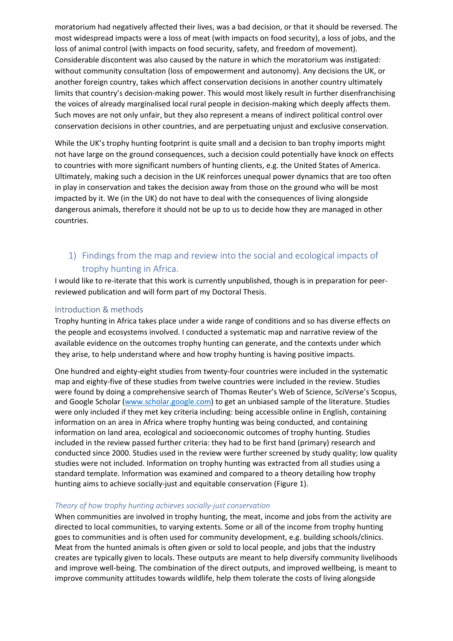moratorium had negatively affected their lives, was a bad decision, or that it should be reversed. The most widespread impacts were a loss of meat (with impacts on food security), a loss of jobs, and the loss of animal control (with impacts on food security, safety, and freedom of movement). Considerable discontent was also caused by the nature in which the moratorium was instigated: without community consultation (loss of empowerment and autonomy). Any decisions the UK, or another foreign country, takes which affect conservation decisions in another country ultimately limits that country's decision-making power. This would most likely result in further disenfranchising the voices of already marginalised local rural people in decision-making which deeply affects them. Such moves are not only unfair, but they also represent a means of indirect political control over conservation decisions in other countries, and are perpetuating unjust and exclusive conservation.

While the UK's trophy hunting footprint is quite small and a decision to ban trophy imports might not have large on the ground consequences, such a decision could potentially have knock on effects to countries with more significant numbers of hunting clients, e.g. the United States of America. Ultimately, making such a decision in the UK reinforces unequal power dynamics that are too often in play in conservation and takes the decision away from those on the ground who will be most impacted by it. We (in the UK) do not have to deal with the consequences of living alongside dangerous animals, therefore it should not be up to us to decide how they are managed in other countries.

# 1) Findings from the map and review into the social and ecological impacts of trophy hunting in Africa.

I would like to re-iterate that this work is currently unpublished, though is in preparation for peerreviewed publication and will form part of my Doctoral Thesis.

## Introduction & methods

Trophy hunting in Africa takes place under a wide range of conditions and so has diverse effects on the people and ecosystems involved. I conducted a systematic map and narrative review of the available evidence on the outcomes trophy hunting can generate, and the contexts under which they arise, to help understand where and how trophy hunting is having positive impacts.

One hundred and eighty-eight studies from twenty-four countries were included in the systematic map and eighty-five of these studies from twelve countries were included in the review. Studies were found by doing a comprehensive search of Thomas Reuter's Web of Science, SciVerse's Scopus, and Google Scholar [\(www.scholar.google.com\)](http://www.scholar.google.com/) to get an unbiased sample of the literature. Studies were only included if they met key criteria including: being accessible online in English, containing information on an area in Africa where trophy hunting was being conducted, and containing information on land area, ecological and socioeconomic outcomes of trophy hunting. Studies included in the review passed further criteria: they had to be first hand (primary) research and conducted since 2000. Studies used in the review were further screened by study quality; low quality studies were not included. Information on trophy hunting was extracted from all studies using a standard template. Information was examined and compared to a theory detailing how trophy hunting aims to achieve socially-just and equitable conservation ([Figure](#page-2-0) [1](#page-2-0)).

## *Theory of how trophy hunting achieves socially-just conservation*

When communities are involved in trophy hunting, the meat, income and jobs from the activity are directed to local communities, to varying extents. Some or all of the income from trophy hunting goes to communities and is often used for community development, e.g. building schools/clinics. Meat from the hunted animals is often given or sold to local people, and jobs that the industry creates are typically given to locals. These outputs are meant to help diversify community livelihoods and improve well-being. The combination of the direct outputs, and improved wellbeing, is meant to improve community attitudes towards wildlife, help them tolerate the costs of living alongside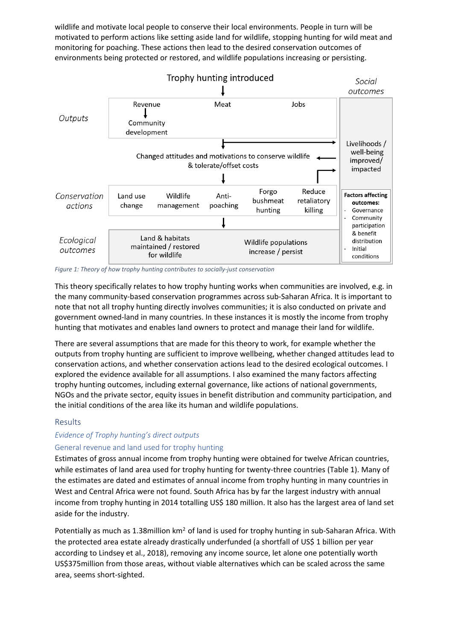wildlife and motivate local people to conserve their local environments. People in turn will be motivated to perform actions like setting aside land for wildlife, stopping hunting for wild meat and monitoring for poaching. These actions then lead to the desired conservation outcomes of environments being protected or restored, and wildlife populations increasing or persisting.



#### <span id="page-2-0"></span>*Figure 1: Theory of how trophy hunting contributes to socially-just conservation*

This theory specifically relates to how trophy hunting works when communities are involved, e.g. in the many community-based conservation programmes across sub-Saharan Africa. It is important to note that not all trophy hunting directly involves communities; it is also conducted on private and government owned-land in many countries. In these instances it is mostly the income from trophy hunting that motivates and enables land owners to protect and manage their land for wildlife.

There are several assumptions that are made for this theory to work, for example whether the outputs from trophy hunting are sufficient to improve wellbeing, whether changed attitudes lead to conservation actions, and whether conservation actions lead to the desired ecological outcomes. I explored the evidence available for all assumptions. I also examined the many factors affecting trophy hunting outcomes, including external governance, like actions of national governments, NGOs and the private sector, equity issues in benefit distribution and community participation, and the initial conditions of the area like its human and wildlife populations.

## Results

## *Evidence of Trophy hunting's direct outputs*

## General revenue and land used for trophy hunting

Estimates of gross annual income from trophy hunting were obtained for twelve African countries, while estimates of land area used for trophy hunting for twenty-three countries ([Table](#page-3-0) [1](#page-3-0)). Many of the estimates are dated and estimates of annual income from trophy hunting in many countries in West and Central Africa were not found. South Africa has by far the largest industry with annual income from trophy hunting in 2014 totalling US\$ 180 million. It also has the largest area of land set aside for the industry.

Potentially as much as 1.38million km<sup>2</sup> of land is used for trophy hunting in sub-Saharan Africa. With the protected area estate already drastically underfunded (a shortfall of US\$ 1 billion per year according to Lindsey et al., 2018), removing any income source, let alone one potentially worth US\$375million from those areas, without viable alternatives which can be scaled across the same area, seems short-sighted.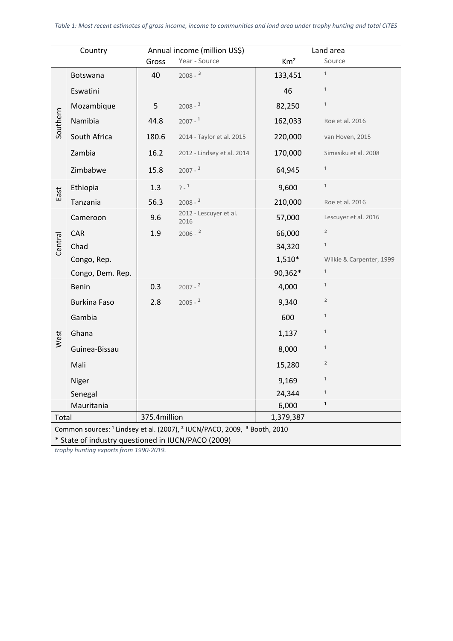<span id="page-3-0"></span>

| Country                                                                                                    |                     | Annual income (million US\$) |                                | Land area       |                          |  |
|------------------------------------------------------------------------------------------------------------|---------------------|------------------------------|--------------------------------|-----------------|--------------------------|--|
|                                                                                                            |                     | Gross                        | Year - Source                  | Km <sup>2</sup> | Source                   |  |
| Southern                                                                                                   | Botswana            | 40                           | $2008 - 3$                     | 133,451         | $\mathbf{1}$             |  |
|                                                                                                            | Eswatini            |                              |                                | 46              | $\mathbf{1}$             |  |
|                                                                                                            | Mozambique          | 5                            | $2008 - 3$                     | 82,250          | $\mathbf{1}$             |  |
|                                                                                                            | Namibia             | 44.8                         | $2007 - 1$                     | 162,033         | Roe et al. 2016          |  |
|                                                                                                            | South Africa        | 180.6                        | 2014 - Taylor et al. 2015      | 220,000         | van Hoven, 2015          |  |
|                                                                                                            | Zambia              | 16.2                         | 2012 - Lindsey et al. 2014     | 170,000         | Simasiku et al. 2008     |  |
|                                                                                                            | Zimbabwe            | 15.8                         | $2007 -$ <sup>3</sup>          | 64,945          | $\mathbf{1}$             |  |
| East                                                                                                       | Ethiopia            | 1.3                          | $7 - 1$                        | 9,600           | $\mathbf{1}$             |  |
|                                                                                                            | Tanzania            | 56.3                         | $2008 - 3$                     | 210,000         | Roe et al. 2016          |  |
| Central                                                                                                    | Cameroon            | 9.6                          | 2012 - Lescuyer et al.<br>2016 | 57,000          | Lescuyer et al. 2016     |  |
|                                                                                                            | CAR                 | 1.9                          | $2006 - 2$                     | 66,000          | $\overline{\mathbf{c}}$  |  |
|                                                                                                            | Chad                |                              |                                | 34,320          | $\mathbf{1}$             |  |
|                                                                                                            | Congo, Rep.         |                              |                                | $1,510*$        | Wilkie & Carpenter, 1999 |  |
|                                                                                                            | Congo, Dem. Rep.    |                              |                                | 90,362*         | $\mathbf{1}$             |  |
| West                                                                                                       | Benin               | 0.3                          | $2007 - 2$                     | 4,000           | $\mathbf{1}$             |  |
|                                                                                                            | <b>Burkina Faso</b> | 2.8                          | $2005 - 2$                     | 9,340           | $\overline{\mathbf{c}}$  |  |
|                                                                                                            | Gambia              |                              |                                | 600             | $\mathbf{1}$             |  |
|                                                                                                            | Ghana               |                              |                                | 1,137           | $\mathbf{1}$             |  |
|                                                                                                            | Guinea-Bissau       |                              |                                | 8,000           | $\mathbf{1}$             |  |
|                                                                                                            | Mali                |                              |                                | 15,280          | $\overline{\mathbf{c}}$  |  |
|                                                                                                            | Niger               |                              |                                | 9,169           | $\mathbf{1}$             |  |
|                                                                                                            | Senegal             |                              |                                | 24,344          | $\mathbf{1}$             |  |
| Mauritania                                                                                                 |                     |                              |                                | 6,000           | $\mathbf{1}$             |  |
| Total                                                                                                      |                     | 375.4million                 |                                | 1,379,387       |                          |  |
| Common sources: <sup>1</sup> Lindsey et al. (2007), <sup>2</sup> IUCN/PACO, 2009, <sup>3</sup> Booth, 2010 |                     |                              |                                |                 |                          |  |

\* State of industry questioned in IUCN/PACO (2009)

*trophy hunting exports from 1990-2019.*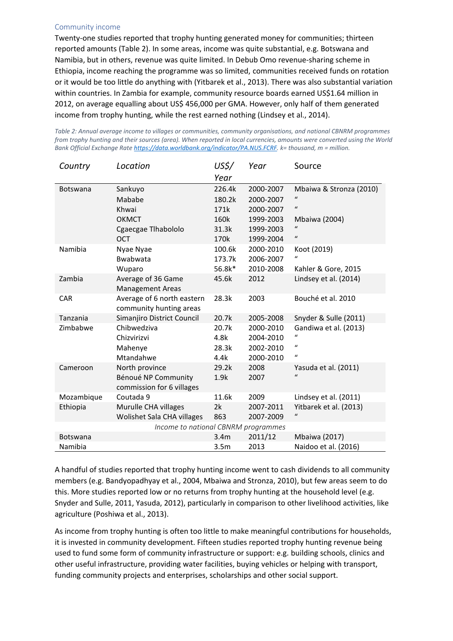### Community income

Twenty-one studies reported that trophy hunting generated money for communities; thirteen reported amounts [\(Table](#page-4-0) [2\)](#page-4-0). In some areas, income was quite substantial, e.g. Botswana and Namibia, but in others, revenue was quite limited. In Debub Omo revenue-sharing scheme in Ethiopia, income reaching the programme was so limited, communities received funds on rotation or it would be too little do anything with (Yitbarek et al., 2013). There was also substantial variation within countries. In Zambia for example, community resource boards earned US\$1.64 million in 2012, on average equalling about US\$ 456,000 per GMA. However, only half of them generated income from trophy hunting, while the rest earned nothing (Lindsey et al., 2014).

| Country                             | Location                                              | US\$/<br>Year    | Year      | Source                     |  |  |  |
|-------------------------------------|-------------------------------------------------------|------------------|-----------|----------------------------|--|--|--|
| <b>Botswana</b>                     | Sankuyo                                               | 226.4k           | 2000-2007 | Mbaiwa & Stronza (2010)    |  |  |  |
|                                     | Mababe                                                | 180.2k           | 2000-2007 | $\iota$                    |  |  |  |
|                                     | Khwai                                                 | 171k             | 2000-2007 | $\mathbf{u}$               |  |  |  |
|                                     | <b>OKMCT</b>                                          | 160k             | 1999-2003 | Mbaiwa (2004)              |  |  |  |
|                                     | Cgaecgae Tlhabololo                                   | 31.3k            | 1999-2003 | $\mathbf{u}$               |  |  |  |
|                                     | <b>OCT</b>                                            | 170k             | 1999-2004 | $\boldsymbol{\mathcal{U}}$ |  |  |  |
| Namibia                             | Nyae Nyae                                             | 100.6k           | 2000-2010 | Koot (2019)                |  |  |  |
|                                     | Bwabwata                                              | 173.7k           | 2006-2007 | $\mathcal{U}$              |  |  |  |
|                                     | Wuparo                                                | 56.8k*           | 2010-2008 | Kahler & Gore, 2015        |  |  |  |
| Zambia                              | Average of 36 Game<br><b>Management Areas</b>         | 45.6k            | 2012      | Lindsey et al. (2014)      |  |  |  |
| <b>CAR</b>                          | Average of 6 north eastern<br>community hunting areas | 28.3k            | 2003      | Bouché et al. 2010         |  |  |  |
| Tanzania                            | Simanjiro District Council                            | 20.7k            | 2005-2008 | Snyder & Sulle (2011)      |  |  |  |
| Zimbabwe                            | Chibwedziva                                           | 20.7k            | 2000-2010 | Gandiwa et al. (2013)      |  |  |  |
|                                     | Chizvirizvi                                           | 4.8k             | 2004-2010 | $\boldsymbol{u}$           |  |  |  |
|                                     | Mahenye                                               | 28.3k            | 2002-2010 | $\boldsymbol{u}$           |  |  |  |
|                                     | Mtandahwe                                             | 4.4k             | 2000-2010 | $\boldsymbol{u}$           |  |  |  |
| Cameroon                            | North province                                        | 29.2k            | 2008      | Yasuda et al. (2011)       |  |  |  |
|                                     | Bénoué NP Community<br>commission for 6 villages      | 1.9k             | 2007      | $\mathbf{u}$               |  |  |  |
| Mozambique                          | Coutada 9                                             | 11.6k            | 2009      | Lindsey et al. (2011)      |  |  |  |
| Ethiopia                            | Murulle CHA villages                                  | 2k               | 2007-2011 | Yitbarek et al. (2013)     |  |  |  |
|                                     | Wolishet Sala CHA villages                            | 863              | 2007-2009 | $\mathcal{U}$              |  |  |  |
| Income to national CBNRM programmes |                                                       |                  |           |                            |  |  |  |
| <b>Botswana</b>                     |                                                       | 3.4 <sub>m</sub> | 2011/12   | <b>Mbaiwa</b> (2017)       |  |  |  |
| Namibia                             |                                                       | 3.5 <sub>m</sub> | 2013      | Naidoo et al. (2016)       |  |  |  |

<span id="page-4-0"></span>*Table 2: Annual average income to villages or communities, community organisations, and national CBNRM programmes* from trophy hunting and their sources (area). When reported in local currencies, amounts were converted using the World *Bank Official Exchange Rate [https://data.worldbank.org/indicator/PA.NUS.FCRF.](https://data.worldbank.org/indicator/PA.NUS.FCRF) k= thousand, m = million.*

A handful of studies reported that trophy hunting income went to cash dividends to all community members (e.g. Bandyopadhyay et al., 2004, Mbaiwa and Stronza, 2010), but few areas seem to do this. More studies reported low or no returns from trophy hunting at the household level (e.g. Snyder and Sulle, 2011, Yasuda, 2012), particularly in comparison to other livelihood activities, like agriculture (Poshiwa et al., 2013).

As income from trophy hunting is often too little to make meaningful contributions for households, it is invested in community development. Fifteen studies reported trophy hunting revenue being used to fund some form of community infrastructure or support: e.g. building schools, clinics and other useful infrastructure, providing water facilities, buying vehicles or helping with transport, funding community projects and enterprises, scholarships and other social support.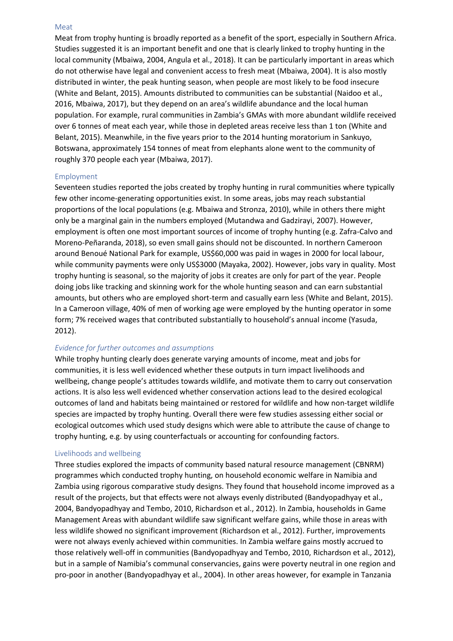#### Meat

Meat from trophy hunting is broadly reported as a benefit of the sport, especially in Southern Africa. Studies suggested it is an important benefit and one that is clearly linked to trophy hunting in the local community (Mbaiwa, 2004, Angula et al., 2018). It can be particularly important in areas which do not otherwise have legal and convenient access to fresh meat (Mbaiwa, 2004). It is also mostly distributed in winter, the peak hunting season, when people are most likely to be food insecure (White and Belant, 2015). Amounts distributed to communities can be substantial (Naidoo et al., 2016, Mbaiwa, 2017), but they depend on an area's wildlife abundance and the local human population. For example, rural communities in Zambia's GMAs with more abundant wildlife received over 6 tonnes of meat each year, while those in depleted areas receive less than 1 ton (White and Belant, 2015). Meanwhile, in the five years prior to the 2014 hunting moratorium in Sankuyo, Botswana, approximately 154 tonnes of meat from elephants alone went to the community of roughly 370 people each year (Mbaiwa, 2017).

#### Employment

Seventeen studies reported the jobs created by trophy hunting in rural communities where typically few other income-generating opportunities exist. In some areas, jobs may reach substantial proportions of the local populations (e.g. Mbaiwa and Stronza, 2010), while in others there might only be a marginal gain in the numbers employed (Mutandwa and Gadzirayi, 2007). However, employment is often one most important sources of income of trophy hunting (e.g. Zafra-Calvo and Moreno-Peñaranda, 2018), so even small gains should not be discounted. In northern Cameroon around Benoué National Park for example, US\$60,000 was paid in wages in 2000 for local labour, while community payments were only US\$3000 (Mayaka, 2002). However, jobs vary in quality. Most trophy hunting is seasonal, so the majority of jobs it creates are only for part of the year. People doing jobs like tracking and skinning work for the whole hunting season and can earn substantial amounts, but others who are employed short-term and casually earn less (White and Belant, 2015). In a Cameroon village, 40% of men of working age were employed by the hunting operator in some form; 7% received wages that contributed substantially to household's annual income (Yasuda, 2012).

## *Evidence for further outcomes and assumptions*

While trophy hunting clearly does generate varying amounts of income, meat and jobs for communities, it is less well evidenced whether these outputs in turn impact livelihoods and wellbeing, change people's attitudes towards wildlife, and motivate them to carry out conservation actions. It is also less well evidenced whether conservation actions lead to the desired ecological outcomes of land and habitats being maintained or restored for wildlife and how non-target wildlife species are impacted by trophy hunting. Overall there were few studies assessing either social or ecological outcomes which used study designs which were able to attribute the cause of change to trophy hunting, e.g. by using counterfactuals or accounting for confounding factors.

## Livelihoods and wellbeing

Three studies explored the impacts of community based natural resource management (CBNRM) programmes which conducted trophy hunting, on household economic welfare in Namibia and Zambia using rigorous comparative study designs. They found that household income improved as a result of the projects, but that effects were not always evenly distributed (Bandyopadhyay et al., 2004, Bandyopadhyay and Tembo, 2010, Richardson et al., 2012). In Zambia, households in Game Management Areas with abundant wildlife saw significant welfare gains, while those in areas with less wildlife showed no significant improvement (Richardson et al., 2012). Further, improvements were not always evenly achieved within communities. In Zambia welfare gains mostly accrued to those relatively well-off in communities (Bandyopadhyay and Tembo, 2010, Richardson et al., 2012), but in a sample of Namibia's communal conservancies, gains were poverty neutral in one region and pro-poor in another (Bandyopadhyay et al., 2004). In other areas however, for example in Tanzania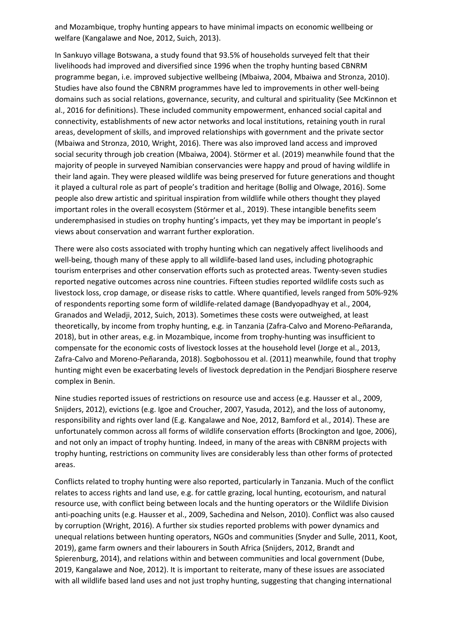and Mozambique, trophy hunting appears to have minimal impacts on economic wellbeing or welfare (Kangalawe and Noe, 2012, Suich, 2013).

In Sankuyo village Botswana, a study found that 93.5% of households surveyed felt that their livelihoods had improved and diversified since 1996 when the trophy hunting based CBNRM programme began, i.e. improved subjective wellbeing (Mbaiwa, 2004, Mbaiwa and Stronza, 2010). Studies have also found the CBNRM programmes have led to improvements in other well-being domains such as social relations, governance, security, and cultural and spirituality (See McKinnon et al., 2016 for definitions). These included community empowerment, enhanced social capital and connectivity, establishments of new actor networks and local institutions, retaining youth in rural areas, development of skills, and improved relationships with government and the private sector (Mbaiwa and Stronza, 2010, Wright, 2016). There was also improved land access and improved social security through job creation (Mbaiwa, 2004). Störmer et al. (2019) meanwhile found that the majority of people in surveyed Namibian conservancies were happy and proud of having wildlife in their land again. They were pleased wildlife was being preserved for future generations and thought it played a cultural role as part of people's tradition and heritage (Bollig and Olwage, 2016). Some people also drew artistic and spiritual inspiration from wildlife while others thought they played important roles in the overall ecosystem (Störmer et al., 2019). These intangible benefits seem underemphasised in studies on trophy hunting's impacts, yet they may be important in people's views about conservation and warrant further exploration.

There were also costs associated with trophy hunting which can negatively affect livelihoods and well-being, though many of these apply to all wildlife-based land uses, including photographic tourism enterprises and other conservation efforts such as protected areas. Twenty-seven studies reported negative outcomes across nine countries. Fifteen studies reported wildlife costs such as livestock loss, crop damage, or disease risks to cattle. Where quantified, levels ranged from 50%-92% of respondents reporting some form of wildlife-related damage (Bandyopadhyay et al., 2004, Granados and Weladji, 2012, Suich, 2013). Sometimes these costs were outweighed, at least theoretically, by income from trophy hunting, e.g. in Tanzania (Zafra-Calvo and Moreno-Peñaranda, 2018), but in other areas, e.g. in Mozambique, income from trophy-hunting was insufficient to compensate for the economic costs of livestock losses at the household level (Jorge et al., 2013, Zafra-Calvo and Moreno-Peñaranda, 2018). Sogbohossou et al. (2011) meanwhile, found that trophy hunting might even be exacerbating levels of livestock depredation in the Pendjari Biosphere reserve complex in Benin.

Nine studies reported issues of restrictions on resource use and access (e.g. Hausser et al., 2009, Snijders, 2012), evictions (e.g. Igoe and Croucher, 2007, Yasuda, 2012), and the loss of autonomy, responsibility and rights over land (E.g. Kangalawe and Noe, 2012, Bamford et al., 2014). These are unfortunately common across all forms of wildlife conservation efforts (Brockington and Igoe, 2006), and not only an impact of trophy hunting. Indeed, in many of the areas with CBNRM projects with trophy hunting, restrictions on community lives are considerably less than other forms of protected areas.

Conflicts related to trophy hunting were also reported, particularly in Tanzania. Much of the conflict relates to access rights and land use, e.g. for cattle grazing, local hunting, ecotourism, and natural resource use, with conflict being between locals and the hunting operators or the Wildlife Division anti-poaching units (e.g. Hausser et al., 2009, Sachedina and Nelson, 2010). Conflict was also caused by corruption (Wright, 2016). A further six studies reported problems with power dynamics and unequal relations between hunting operators, NGOs and communities (Snyder and Sulle, 2011, Koot, 2019), game farm owners and their labourers in South Africa (Snijders, 2012, Brandt and Spierenburg, 2014), and relations within and between communities and local government (Dube, 2019, Kangalawe and Noe, 2012). It is important to reiterate, many of these issues are associated with all wildlife based land uses and not just trophy hunting, suggesting that changing international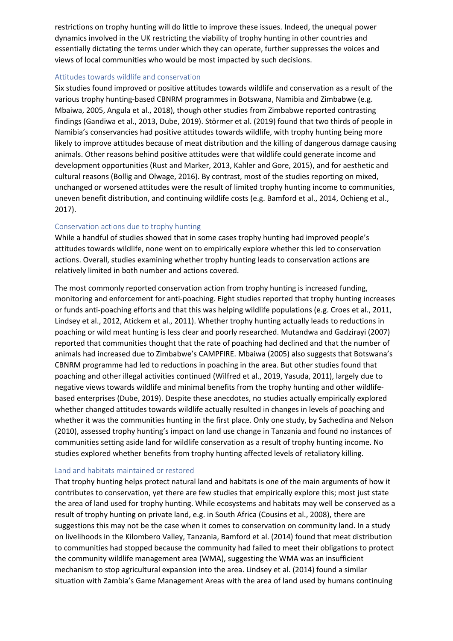restrictions on trophy hunting will do little to improve these issues. Indeed, the unequal power dynamics involved in the UK restricting the viability of trophy hunting in other countries and essentially dictating the terms under which they can operate, further suppresses the voices and views of local communities who would be most impacted by such decisions.

### Attitudes towards wildlife and conservation

Six studies found improved or positive attitudes towards wildlife and conservation as a result of the various trophy hunting-based CBNRM programmes in Botswana, Namibia and Zimbabwe (e.g. Mbaiwa, 2005, Angula et al., 2018), though other studies from Zimbabwe reported contrasting findings (Gandiwa et al., 2013, Dube, 2019). Störmer et al. (2019) found that two thirds of people in Namibia's conservancies had positive attitudes towards wildlife, with trophy hunting being more likely to improve attitudes because of meat distribution and the killing of dangerous damage causing animals. Other reasons behind positive attitudes were that wildlife could generate income and development opportunities (Rust and Marker, 2013, Kahler and Gore, 2015), and for aesthetic and cultural reasons (Bollig and Olwage, 2016). By contrast, most of the studies reporting on mixed, unchanged or worsened attitudes were the result of limited trophy hunting income to communities, uneven benefit distribution, and continuing wildlife costs (e.g. Bamford et al., 2014, Ochieng et al., 2017).

## Conservation actions due to trophy hunting

While a handful of studies showed that in some cases trophy hunting had improved people's attitudes towards wildlife, none went on to empirically explore whether this led to conservation actions. Overall, studies examining whether trophy hunting leads to conservation actions are relatively limited in both number and actions covered.

The most commonly reported conservation action from trophy hunting is increased funding, monitoring and enforcement for anti-poaching. Eight studies reported that trophy hunting increases or funds anti-poaching efforts and that this was helping wildlife populations (e.g. Croes et al., 2011, Lindsey et al., 2012, Atickem et al., 2011). Whether trophy hunting actually leads to reductions in poaching or wild meat hunting is less clear and poorly researched. Mutandwa and Gadzirayi (2007) reported that communities thought that the rate of poaching had declined and that the number of animals had increased due to Zimbabwe's CAMPFIRE. Mbaiwa (2005) also suggests that Botswana's CBNRM programme had led to reductions in poaching in the area. But other studies found that poaching and other illegal activities continued (Wilfred et al., 2019, Yasuda, 2011), largely due to negative views towards wildlife and minimal benefits from the trophy hunting and other wildlifebased enterprises (Dube, 2019). Despite these anecdotes, no studies actually empirically explored whether changed attitudes towards wildlife actually resulted in changes in levels of poaching and whether it was the communities hunting in the first place. Only one study, by Sachedina and Nelson (2010), assessed trophy hunting's impact on land use change in Tanzania and found no instances of communities setting aside land for wildlife conservation as a result of trophy hunting income. No studies explored whether benefits from trophy hunting affected levels of retaliatory killing.

#### Land and habitats maintained or restored

That trophy hunting helps protect natural land and habitats is one of the main arguments of how it contributes to conservation, yet there are few studies that empirically explore this; most just state the area of land used for trophy hunting. While ecosystems and habitats may well be conserved as a result of trophy hunting on private land, e.g. in South Africa (Cousins et al., 2008), there are suggestions this may not be the case when it comes to conservation on community land. In a study on livelihoods in the Kilombero Valley, Tanzania, Bamford et al. (2014) found that meat distribution to communities had stopped because the community had failed to meet their obligations to protect the community wildlife management area (WMA), suggesting the WMA was an insufficient mechanism to stop agricultural expansion into the area. Lindsey et al. (2014) found a similar situation with Zambia's Game Management Areas with the area of land used by humans continuing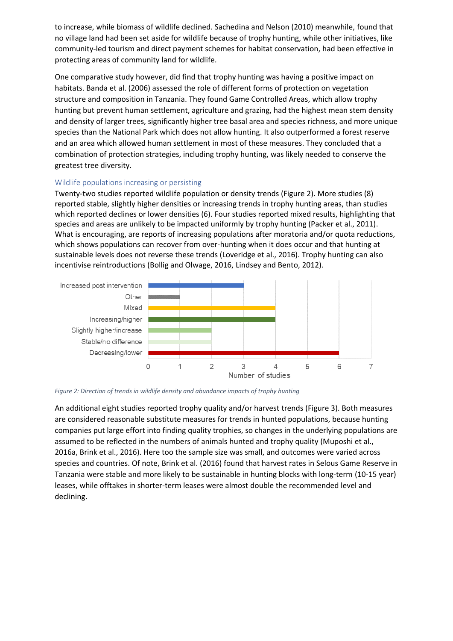to increase, while biomass of wildlife declined. Sachedina and Nelson (2010) meanwhile, found that no village land had been set aside for wildlife because of trophy hunting, while other initiatives, like community-led tourism and direct payment schemes for habitat conservation, had been effective in protecting areas of community land for wildlife.

One comparative study however, did find that trophy hunting was having a positive impact on habitats. Banda et al. (2006) assessed the role of different forms of protection on vegetation structure and composition in Tanzania. They found Game Controlled Areas, which allow trophy hunting but prevent human settlement, agriculture and grazing, had the highest mean stem density and density of larger trees, significantly higher tree basal area and species richness, and more unique species than the National Park which does not allow hunting. It also outperformed a forest reserve and an area which allowed human settlement in most of these measures. They concluded that a combination of protection strategies, including trophy hunting, was likely needed to conserve the greatest tree diversity.

## Wildlife populations increasing or persisting

Twenty-two studies reported wildlife population or density trends ([Figure](#page-8-0) [2\)](#page-8-0). More studies (8) reported stable, slightly higher densities or increasing trends in trophy hunting areas, than studies which reported declines or lower densities (6). Four studies reported mixed results, highlighting that species and areas are unlikely to be impacted uniformly by trophy hunting (Packer et al., 2011). What is encouraging, are reports of increasing populations after moratoria and/or quota reductions, which shows populations can recover from over-hunting when it does occur and that hunting at sustainable levels does not reverse these trends (Loveridge et al., 2016). Trophy hunting can also incentivise reintroductions (Bollig and Olwage, 2016, Lindsey and Bento, 2012).



<span id="page-8-0"></span>*Figure 2: Direction of trends in wildlife density and abundance impacts of trophy hunting*

An additional eight studies reported trophy quality and/or harvest trends ([Figure](#page-9-0) [3\)](#page-9-0). Both measures are considered reasonable substitute measures for trends in hunted populations, because hunting companies put large effort into finding quality trophies, so changes in the underlying populations are assumed to be reflected in the numbers of animals hunted and trophy quality (Muposhi et al., 2016a, Brink et al., 2016). Here too the sample size was small, and outcomes were varied across species and countries. Of note, Brink et al. (2016) found that harvest rates in Selous Game Reserve in Tanzania were stable and more likely to be sustainable in hunting blocks with long-term (10-15 year) leases, while offtakes in shorter-term leases were almost double the recommended level and declining.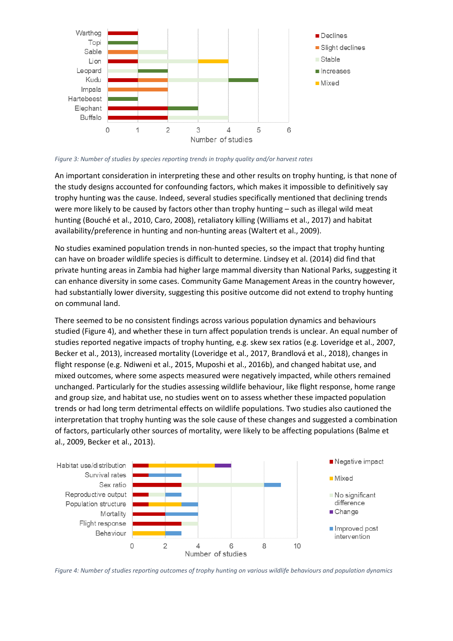

<span id="page-9-0"></span>*Figure 3: Number of studies by species reporting trends in trophy quality and/or harvest rates*

An important consideration in interpreting these and other results on trophy hunting, is that none of the study designs accounted for confounding factors, which makes it impossible to definitively say trophy hunting was the cause. Indeed, several studies specifically mentioned that declining trends were more likely to be caused by factors other than trophy hunting – such as illegal wild meat hunting (Bouché et al., 2010, Caro, 2008), retaliatory killing (Williams et al., 2017) and habitat availability/preference in hunting and non-hunting areas (Waltert et al., 2009).

No studies examined population trends in non-hunted species, so the impact that trophy hunting can have on broader wildlife species is difficult to determine. Lindsey et al. (2014) did find that private hunting areas in Zambia had higher large mammal diversity than National Parks, suggesting it can enhance diversity in some cases. Community Game Management Areas in the country however, had substantially lower diversity, suggesting this positive outcome did not extend to trophy hunting on communal land.

There seemed to be no consistent findings across various population dynamics and behaviours studied [\(Figure](#page-9-1) [4](#page-9-1)), and whether these in turn affect population trends is unclear. An equal number of studies reported negative impacts of trophy hunting, e.g. skew sex ratios (e.g. Loveridge et al., 2007, Becker et al., 2013), increased mortality (Loveridge et al., 2017, Brandlová et al., 2018), changes in flight response (e.g. Ndiweni et al., 2015, Muposhi et al., 2016b), and changed habitat use, and mixed outcomes, where some aspects measured were negatively impacted, while others remained unchanged. Particularly for the studies assessing wildlife behaviour, like flight response, home range and group size, and habitat use, no studies went on to assess whether these impacted population trends or had long term detrimental effects on wildlife populations. Two studies also cautioned the interpretation that trophy hunting was the sole cause of these changes and suggested a combination of factors, particularly other sources of mortality, were likely to be affecting populations (Balme et al., 2009, Becker et al., 2013).



<span id="page-9-1"></span>Figure 4: Number of studies reporting outcomes of trophy hunting on various wildlife behaviours and population dynamics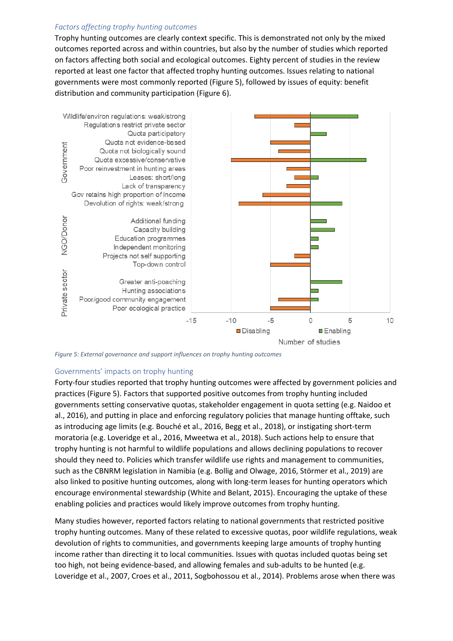## *Factors affecting trophy hunting outcomes*

Trophy hunting outcomes are clearly context specific. This is demonstrated not only by the mixed outcomes reported across and within countries, but also by the number of studies which reported on factors affecting both social and ecological outcomes. Eighty percent of studies in the review reported at least one factor that affected trophy hunting outcomes. Issues relating to national governments were most commonly reported ([Figure](#page-10-0) [5\)](#page-10-0), followed by issues of equity: benefit distribution and community participation ([Figure](#page-12-0) [6\)](#page-12-0).



<span id="page-10-0"></span>*Figure 5: External governance and support influences on trophy hunting outcomes*

#### Governments' impacts on trophy hunting

Forty-four studies reported that trophy hunting outcomes were affected by government policies and practices ([Figure](#page-10-0) [5\)](#page-10-0). Factors that supported positive outcomes from trophy hunting included governments setting conservative quotas, stakeholder engagement in quota setting (e.g. Naidoo et al., 2016), and putting in place and enforcing regulatory policies that manage hunting offtake, such as introducing age limits (e.g. Bouché et al., 2016, Begg et al., 2018), or instigating short-term moratoria (e.g. Loveridge et al., 2016, Mweetwa et al., 2018). Such actions help to ensure that trophy hunting is not harmful to wildlife populations and allows declining populations to recover should they need to. Policies which transfer wildlife use rights and management to communities, such as the CBNRM legislation in Namibia (e.g. Bollig and Olwage, 2016, Störmer et al., 2019) are also linked to positive hunting outcomes, along with long-term leases for hunting operators which encourage environmental stewardship (White and Belant, 2015). Encouraging the uptake of these enabling policies and practices would likely improve outcomes from trophy hunting.

Many studies however, reported factors relating to national governments that restricted positive trophy hunting outcomes. Many of these related to excessive quotas, poor wildlife regulations, weak devolution of rights to communities, and governments keeping large amounts of trophy hunting income rather than directing it to local communities. Issues with quotas included quotas being set too high, not being evidence-based, and allowing females and sub-adults to be hunted (e.g. Loveridge et al., 2007, Croes et al., 2011, Sogbohossou et al., 2014). Problems arose when there was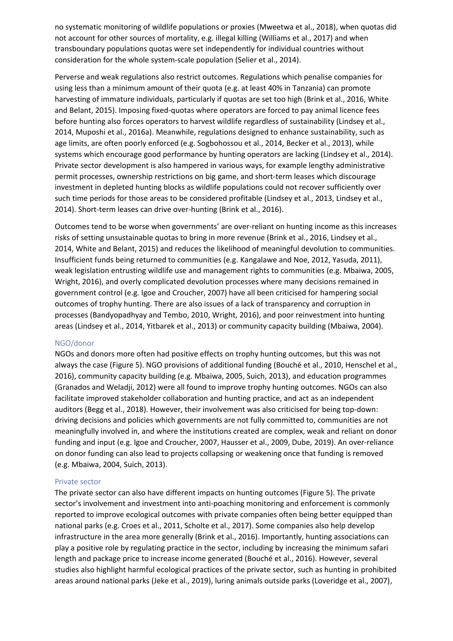no systematic monitoring of wildlife populations or proxies (Mweetwa et al., 2018), when quotas did not account for other sources of mortality, e.g. illegal killing (Williams et al., 2017) and when transboundary populations quotas were set independently for individual countries without consideration for the whole system-scale population (Selier et al., 2014).

Perverse and weak regulations also restrict outcomes. Regulations which penalise companies for using less than a minimum amount of their quota (e.g. at least 40% in Tanzania) can promote harvesting of immature individuals, particularly if quotas are set too high (Brink et al., 2016, White and Belant, 2015). Imposing fixed-quotas where operators are forced to pay animal licence fees before hunting also forces operators to harvest wildlife regardless of sustainability (Lindsey et al., 2014, Muposhi et al., 2016a). Meanwhile, regulations designed to enhance sustainability, such as age limits, are often poorly enforced (e.g. Sogbohossou et al., 2014, Becker et al., 2013), while systems which encourage good performance by hunting operators are lacking (Lindsey et al., 2014). Private sector development is also hampered in various ways, for example lengthy administrative permit processes, ownership restrictions on big game, and short-term leases which discourage investment in depleted hunting blocks as wildlife populations could not recover sufficiently over such time periods for those areas to be considered profitable (Lindsey et al., 2013, Lindsey et al., 2014). Short-term leases can drive over-hunting (Brink et al., 2016).

Outcomes tend to be worse when governments' are over-reliant on hunting income as this increases risks of setting unsustainable quotas to bring in more revenue (Brink et al., 2016, Lindsey et al., 2014, White and Belant, 2015) and reduces the likelihood of meaningful devolution to communities. Insufficient funds being returned to communities (e.g. Kangalawe and Noe, 2012, Yasuda, 2011), weak legislation entrusting wildlife use and management rights to communities (e.g. Mbaiwa, 2005, Wright, 2016), and overly complicated devolution processes where many decisions remained in government control (e.g. Igoe and Croucher, 2007) have all been criticised for hampering social outcomes of trophy hunting. There are also issues of a lack of transparency and corruption in processes (Bandyopadhyay and Tembo, 2010, Wright, 2016), and poor reinvestment into hunting areas (Lindsey et al., 2014, Yitbarek et al., 2013) or community capacity building (Mbaiwa, 2004).

#### NGO/donor

NGOs and donors more often had positive effects on trophy hunting outcomes, but this was not always the case ([Figure](#page-10-0) [5\)](#page-10-0). NGO provisions of additional funding (Bouché et al., 2010, Henschel et al., 2016), community capacity building (e.g. Mbaiwa, 2005, Suich, 2013), and education programmes (Granados and Weladji, 2012) were all found to improve trophy hunting outcomes. NGOs can also facilitate improved stakeholder collaboration and hunting practice, and act as an independent auditors (Begg et al., 2018). However, their involvement was also criticised for being top-down: driving decisions and policies which governments are not fully committed to, communities are not meaningfully involved in, and where the institutions created are complex, weak and reliant on donor funding and input (e.g. Igoe and Croucher, 2007, Hausser et al., 2009, Dube, 2019). An over-reliance on donor funding can also lead to projects collapsing or weakening once that funding is removed (e.g. Mbaiwa, 2004, Suich, 2013).

## Private sector

The private sector can also have different impacts on hunting outcomes [\(Figure](#page-10-0) [5](#page-10-0)). The private sector's involvement and investment into anti-poaching monitoring and enforcement is commonly reported to improve ecological outcomes with private companies often being better equipped than national parks (e.g. Croes et al., 2011, Scholte et al., 2017). Some companies also help develop infrastructure in the area more generally (Brink et al., 2016). Importantly, hunting associations can play a positive role by regulating practice in the sector, including by increasing the minimum safari length and package price to increase income generated (Bouché et al., 2016). However, several studies also highlight harmful ecological practices of the private sector, such as hunting in prohibited areas around national parks (Jeke et al., 2019), luring animals outside parks (Loveridge et al., 2007),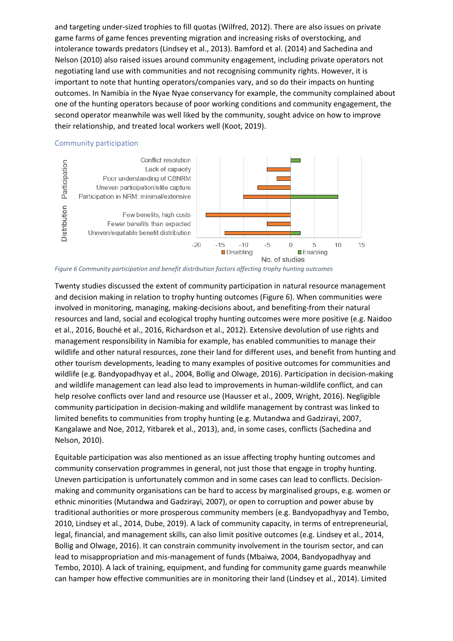and targeting under-sized trophies to fill quotas (Wilfred, 2012). There are also issues on private game farms of game fences preventing migration and increasing risks of overstocking, and intolerance towards predators (Lindsey et al., 2013). Bamford et al. (2014) and Sachedina and Nelson (2010) also raised issues around community engagement, including private operators not negotiating land use with communities and not recognising community rights. However, it is important to note that hunting operators/companies vary, and so do their impacts on hunting outcomes. In Namibia in the Nyae Nyae conservancy for example, the community complained about one of the hunting operators because of poor working conditions and community engagement, the second operator meanwhile was well liked by the community, sought advice on how to improve their relationship, and treated local workers well (Koot, 2019).

## Community participation



<span id="page-12-0"></span>*Figure 6 Community participation and benefit distribution factors affecting trophy hunting outcomes*

Twenty studies discussed the extent of community participation in natural resource management and decision making in relation to trophy hunting outcomes [\(Figure](#page-12-0) [6](#page-12-0)). When communities were involved in monitoring, managing, making-decisions about, and benefiting-from their natural resources and land, social and ecological trophy hunting outcomes were more positive (e.g. Naidoo et al., 2016, Bouché et al., 2016, Richardson et al., 2012). Extensive devolution of use rights and management responsibility in Namibia for example, has enabled communities to manage their wildlife and other natural resources, zone their land for different uses, and benefit from hunting and other tourism developments, leading to many examples of positive outcomes for communities and wildlife (e.g. Bandyopadhyay et al., 2004, Bollig and Olwage, 2016). Participation in decision-making and wildlife management can lead also lead to improvements in human-wildlife conflict, and can help resolve conflicts over land and resource use (Hausser et al., 2009, Wright, 2016). Negligible community participation in decision-making and wildlife management by contrast was linked to limited benefits to communities from trophy hunting (e.g. Mutandwa and Gadzirayi, 2007, Kangalawe and Noe, 2012, Yitbarek et al., 2013), and, in some cases, conflicts (Sachedina and Nelson, 2010).

Equitable participation was also mentioned as an issue affecting trophy hunting outcomes and community conservation programmes in general, not just those that engage in trophy hunting. Uneven participation is unfortunately common and in some cases can lead to conflicts. Decisionmaking and community organisations can be hard to access by marginalised groups, e.g. women or ethnic minorities (Mutandwa and Gadzirayi, 2007), or open to corruption and power abuse by traditional authorities or more prosperous community members (e.g. Bandyopadhyay and Tembo, 2010, Lindsey et al., 2014, Dube, 2019). A lack of community capacity, in terms of entrepreneurial, legal, financial, and management skills, can also limit positive outcomes (e.g. Lindsey et al., 2014, Bollig and Olwage, 2016). It can constrain community involvement in the tourism sector, and can lead to misappropriation and mis-management of funds (Mbaiwa, 2004, Bandyopadhyay and Tembo, 2010). A lack of training, equipment, and funding for community game guards meanwhile can hamper how effective communities are in monitoring their land (Lindsey et al., 2014). Limited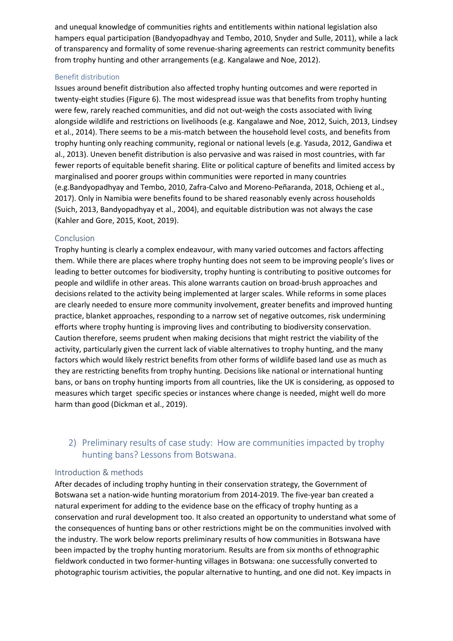and unequal knowledge of communities rights and entitlements within national legislation also hampers equal participation (Bandyopadhyay and Tembo, 2010, Snyder and Sulle, 2011), while a lack of transparency and formality of some revenue-sharing agreements can restrict community benefits from trophy hunting and other arrangements (e.g. Kangalawe and Noe, 2012).

## Benefit distribution

Issues around benefit distribution also affected trophy hunting outcomes and were reported in twenty-eight studies ([Figure](#page-12-0) [6\)](#page-12-0). The most widespread issue was that benefits from trophy hunting were few, rarely reached communities, and did not out-weigh the costs associated with living alongside wildlife and restrictions on livelihoods (e.g. Kangalawe and Noe, 2012, Suich, 2013, Lindsey et al., 2014). There seems to be a mis-match between the household level costs, and benefits from trophy hunting only reaching community, regional or national levels (e.g. Yasuda, 2012, Gandiwa et al., 2013). Uneven benefit distribution is also pervasive and was raised in most countries, with far fewer reports of equitable benefit sharing. Elite or political capture of benefits and limited access by marginalised and poorer groups within communities were reported in many countries (e.g.Bandyopadhyay and Tembo, 2010, Zafra-Calvo and Moreno-Peñaranda, 2018, Ochieng et al., 2017). Only in Namibia were benefits found to be shared reasonably evenly across households (Suich, 2013, Bandyopadhyay et al., 2004), and equitable distribution was not always the case (Kahler and Gore, 2015, Koot, 2019).

### **Conclusion**

Trophy hunting is clearly a complex endeavour, with many varied outcomes and factors affecting them. While there are places where trophy hunting does not seem to be improving people's lives or leading to better outcomes for biodiversity, trophy hunting is contributing to positive outcomes for people and wildlife in other areas. This alone warrants caution on broad-brush approaches and decisions related to the activity being implemented at larger scales. While reforms in some places are clearly needed to ensure more community involvement, greater benefits and improved hunting practice, blanket approaches, responding to a narrow set of negative outcomes, risk undermining efforts where trophy hunting is improving lives and contributing to biodiversity conservation. Caution therefore, seems prudent when making decisions that might restrict the viability of the activity, particularly given the current lack of viable alternatives to trophy hunting, and the many factors which would likely restrict benefits from other forms of wildlife based land use as much as they are restricting benefits from trophy hunting. Decisions like national or international hunting bans, or bans on trophy hunting imports from all countries, like the UK is considering, as opposed to measures which target specific species or instances where change is needed, might well do more harm than good (Dickman et al., 2019).

# 2) Preliminary results of case study: How are communities impacted by trophy hunting bans? Lessons from Botswana.

#### Introduction & methods

After decades of including trophy hunting in their conservation strategy, the Government of Botswana set a nation-wide hunting moratorium from 2014-2019. The five-year ban created a natural experiment for adding to the evidence base on the efficacy of trophy hunting as a conservation and rural development too. It also created an opportunity to understand what some of the consequences of hunting bans or other restrictions might be on the communities involved with the industry. The work below reports preliminary results of how communities in Botswana have been impacted by the trophy hunting moratorium. Results are from six months of ethnographic fieldwork conducted in two former-hunting villages in Botswana: one successfully converted to photographic tourism activities, the popular alternative to hunting, and one did not. Key impacts in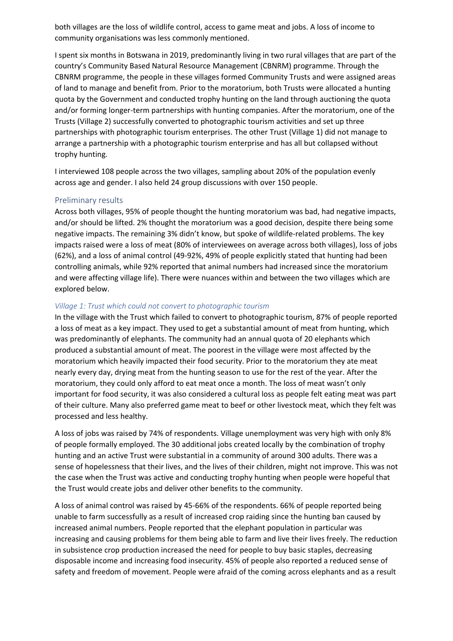both villages are the loss of wildlife control, access to game meat and jobs. A loss of income to community organisations was less commonly mentioned.

I spent six months in Botswana in 2019, predominantly living in two rural villages that are part of the country's Community Based Natural Resource Management (CBNRM) programme. Through the CBNRM programme, the people in these villages formed Community Trusts and were assigned areas of land to manage and benefit from. Prior to the moratorium, both Trusts were allocated a hunting quota by the Government and conducted trophy hunting on the land through auctioning the quota and/or forming longer-term partnerships with hunting companies. After the moratorium, one of the Trusts (Village 2) successfully converted to photographic tourism activities and set up three partnerships with photographic tourism enterprises. The other Trust (Village 1) did not manage to arrange a partnership with a photographic tourism enterprise and has all but collapsed without trophy hunting.

I interviewed 108 people across the two villages, sampling about 20% of the population evenly across age and gender. I also held 24 group discussions with over 150 people.

## Preliminary results

Across both villages, 95% of people thought the hunting moratorium was bad, had negative impacts, and/or should be lifted. 2% thought the moratorium was a good decision, despite there being some negative impacts. The remaining 3% didn't know, but spoke of wildlife-related problems. The key impacts raised were a loss of meat (80% of interviewees on average across both villages), loss of jobs (62%), and a loss of animal control (49-92%, 49% of people explicitly stated that hunting had been controlling animals, while 92% reported that animal numbers had increased since the moratorium and were affecting village life). There were nuances within and between the two villages which are explored below.

## *Village 1: Trust which could not convert to photographic tourism*

In the village with the Trust which failed to convert to photographic tourism, 87% of people reported a loss of meat as a key impact. They used to get a substantial amount of meat from hunting, which was predominantly of elephants. The community had an annual quota of 20 elephants which produced a substantial amount of meat. The poorest in the village were most affected by the moratorium which heavily impacted their food security. Prior to the moratorium they ate meat nearly every day, drying meat from the hunting season to use for the rest of the year. After the moratorium, they could only afford to eat meat once a month. The loss of meat wasn't only important for food security, it was also considered a cultural loss as people felt eating meat was part of their culture. Many also preferred game meat to beef or other livestock meat, which they felt was processed and less healthy.

A loss of jobs was raised by 74% of respondents. Village unemployment was very high with only 8% of people formally employed. The 30 additional jobs created locally by the combination of trophy hunting and an active Trust were substantial in a community of around 300 adults. There was a sense of hopelessness that their lives, and the lives of their children, might not improve. This was not the case when the Trust was active and conducting trophy hunting when people were hopeful that the Trust would create jobs and deliver other benefits to the community.

A loss of animal control was raised by 45-66% of the respondents. 66% of people reported being unable to farm successfully as a result of increased crop raiding since the hunting ban caused by increased animal numbers. People reported that the elephant population in particular was increasing and causing problems for them being able to farm and live their lives freely. The reduction in subsistence crop production increased the need for people to buy basic staples, decreasing disposable income and increasing food insecurity. 45% of people also reported a reduced sense of safety and freedom of movement. People were afraid of the coming across elephants and as a result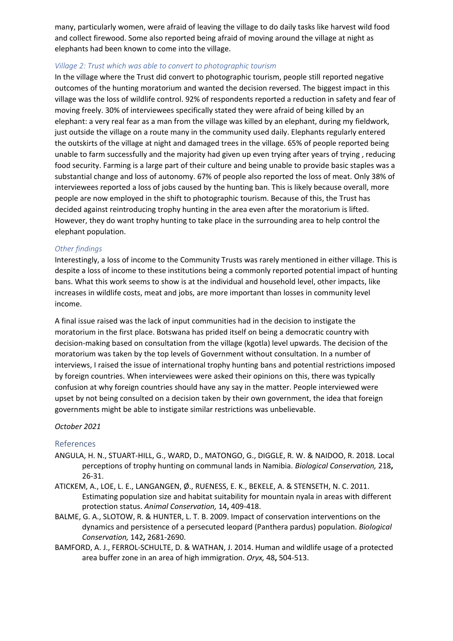many, particularly women, were afraid of leaving the village to do daily tasks like harvest wild food and collect firewood. Some also reported being afraid of moving around the village at night as elephants had been known to come into the village.

## *Village 2: Trust which was able to convert to photographic tourism*

In the village where the Trust did convert to photographic tourism, people still reported negative outcomes of the hunting moratorium and wanted the decision reversed. The biggest impact in this village was the loss of wildlife control. 92% of respondents reported a reduction in safety and fear of moving freely. 30% of interviewees specifically stated they were afraid of being killed by an elephant: a very real fear as a man from the village was killed by an elephant, during my fieldwork, just outside the village on a route many in the community used daily. Elephants regularly entered the outskirts of the village at night and damaged trees in the village. 65% of people reported being unable to farm successfully and the majority had given up even trying after years of trying , reducing food security. Farming is a large part of their culture and being unable to provide basic staples was a substantial change and loss of autonomy. 67% of people also reported the loss of meat. Only 38% of interviewees reported a loss of jobs caused by the hunting ban. This is likely because overall, more people are now employed in the shift to photographic tourism. Because of this, the Trust has decided against reintroducing trophy hunting in the area even after the moratorium is lifted. However, they do want trophy hunting to take place in the surrounding area to help control the elephant population.

## *Other findings*

Interestingly, a loss of income to the Community Trusts was rarely mentioned in either village. This is despite a loss of income to these institutions being a commonly reported potential impact of hunting bans. What this work seems to show is at the individual and household level, other impacts, like increases in wildlife costs, meat and jobs, are more important than losses in community level income.

A final issue raised was the lack of input communities had in the decision to instigate the moratorium in the first place. Botswana has prided itself on being a democratic country with decision-making based on consultation from the village (kgotla) level upwards. The decision of the moratorium was taken by the top levels of Government without consultation. In a number of interviews, I raised the issue of international trophy hunting bans and potential restrictions imposed by foreign countries. When interviewees were asked their opinions on this, there was typically confusion at why foreign countries should have any say in the matter. People interviewed were upset by not being consulted on a decision taken by their own government, the idea that foreign governments might be able to instigate similar restrictions was unbelievable.

## *October 2021*

## References

- ANGULA, H. N., STUART-HILL, G., WARD, D., MATONGO, G., DIGGLE, R. W. & NAIDOO, R. 2018. Local perceptions of trophy hunting on communal lands in Namibia. *Biological Conservation,* 218**,** 26-31.
- ATICKEM, A., LOE, L. E., LANGANGEN, Ø., RUENESS, E. K., BEKELE, A. & STENSETH, N. C. 2011. Estimating population size and habitat suitability for mountain nyala in areas with different protection status. *Animal Conservation,* 14**,** 409-418.
- BALME, G. A., SLOTOW, R. & HUNTER, L. T. B. 2009. Impact of conservation interventions on the dynamics and persistence of a persecuted leopard (Panthera pardus) population. *Biological Conservation,* 142**,** 2681-2690.
- BAMFORD, A. J., FERROL-SCHULTE, D. & WATHAN, J. 2014. Human and wildlife usage of a protected area buffer zone in an area of high immigration. *Oryx,* 48**,** 504-513.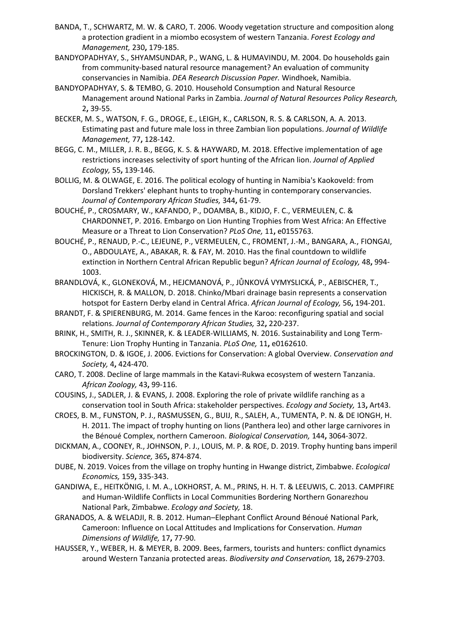- BANDA, T., SCHWARTZ, M. W. & CARO, T. 2006. Woody vegetation structure and composition along a protection gradient in a miombo ecosystem of western Tanzania. *Forest Ecology and Management,* 230**,** 179-185.
- BANDYOPADHYAY, S., SHYAMSUNDAR, P., WANG, L. & HUMAVINDU, M. 2004. Do households gain from community-based natural resource management? An evaluation of community conservancies in Namibia. *DEA Research Discussion Paper.* Windhoek, Namibia.
- BANDYOPADHYAY, S. & TEMBO, G. 2010. Household Consumption and Natural Resource Management around National Parks in Zambia. *Journal of Natural Resources Policy Research,* 2**,** 39-55.
- BECKER, M. S., WATSON, F. G., DROGE, E., LEIGH, K., CARLSON, R. S. & CARLSON, A. A. 2013. Estimating past and future male loss in three Zambian lion populations. *Journal of Wildlife Management,* 77**,** 128-142.
- BEGG, C. M., MILLER, J. R. B., BEGG, K. S. & HAYWARD, M. 2018. Effective implementation of age restrictions increases selectivity of sport hunting of the African lion. *Journal of Applied Ecology,* 55**,** 139-146.
- BOLLIG, M. & OLWAGE, E. 2016. The political ecology of hunting in Namibia's Kaokoveld: from Dorsland Trekkers' elephant hunts to trophy-hunting in contemporary conservancies. *Journal of Contemporary African Studies,* 344**,** 61-79.
- BOUCHÉ, P., CROSMARY, W., KAFANDO, P., DOAMBA, B., KIDJO, F. C., VERMEULEN, C. & CHARDONNET, P. 2016. Embargo on Lion Hunting Trophies from West Africa: An Effective Measure or a Threat to Lion Conservation? *PLoS One,* 11**,** e0155763.
- BOUCHÉ, P., RENAUD, P.-C., LEJEUNE, P., VERMEULEN, C., FROMENT, J.-M., BANGARA, A., FIONGAI, O., ABDOULAYE, A., ABAKAR, R. & FAY, M. 2010. Has the final countdown to wildlife extinction in Northern Central African Republic begun? *African Journal of Ecology,* 48**,** 994- 1003.
- BRANDLOVÁ, K., GLONEKOVÁ, M., HEJCMANOVÁ, P., JŮNKOVÁ VYMYSLICKÁ, P., AEBISCHER, T., HICKISCH, R. & MALLON, D. 2018. Chinko/Mbari drainage basin represents a conservation hotspot for Eastern Derby eland in Central Africa. *African Journal of Ecology,* 56**,** 194-201.
- BRANDT, F. & SPIERENBURG, M. 2014. Game fences in the Karoo: reconfiguring spatial and social relations. *Journal of Contemporary African Studies,* 32**,** 220-237.
- BRINK, H., SMITH, R. J., SKINNER, K. & LEADER-WILLIAMS, N. 2016. Sustainability and Long Term-Tenure: Lion Trophy Hunting in Tanzania. *PLoS One,* 11**,** e0162610.
- BROCKINGTON, D. & IGOE, J. 2006. Evictions for Conservation: A global Overview. *Conservation and Society,* 4**,** 424-470.
- CARO, T. 2008. Decline of large mammals in the Katavi-Rukwa ecosystem of western Tanzania. *African Zoology,* 43**,** 99-116.
- COUSINS, J., SADLER, J. & EVANS, J. 2008. Exploring the role of private wildlife ranching as a conservation tool in South Africa: stakeholder perspectives. *Ecology and Society,* 13**,** Art43.
- CROES, B. M., FUNSTON, P. J., RASMUSSEN, G., BUIJ, R., SALEH, A., TUMENTA, P. N. & DE IONGH, H. H. 2011. The impact of trophy hunting on lions (Panthera leo) and other large carnivores in the Bénoué Complex, northern Cameroon. *Biological Conservation,* 144**,** 3064-3072.
- DICKMAN, A., COONEY, R., JOHNSON, P. J., LOUIS, M. P. & ROE, D. 2019. Trophy hunting bans imperil biodiversity. *Science,* 365**,** 874-874.
- DUBE, N. 2019. Voices from the village on trophy hunting in Hwange district, Zimbabwe. *Ecological Economics,* 159**,** 335-343.
- GANDIWA, E., HEITKÖNIG, I. M. A., LOKHORST, A. M., PRINS, H. H. T. & LEEUWIS, C. 2013. CAMPFIRE and Human-Wildlife Conflicts in Local Communities Bordering Northern Gonarezhou National Park, Zimbabwe. *Ecology and Society,* 18.
- GRANADOS, A. & WELADJI, R. B. 2012. Human–Elephant Conflict Around Bénoué National Park, Cameroon: Influence on Local Attitudes and Implications for Conservation. *Human Dimensions of Wildlife,* 17**,** 77-90.
- HAUSSER, Y., WEBER, H. & MEYER, B. 2009. Bees, farmers, tourists and hunters: conflict dynamics around Western Tanzania protected areas. *Biodiversity and Conservation,* 18**,** 2679-2703.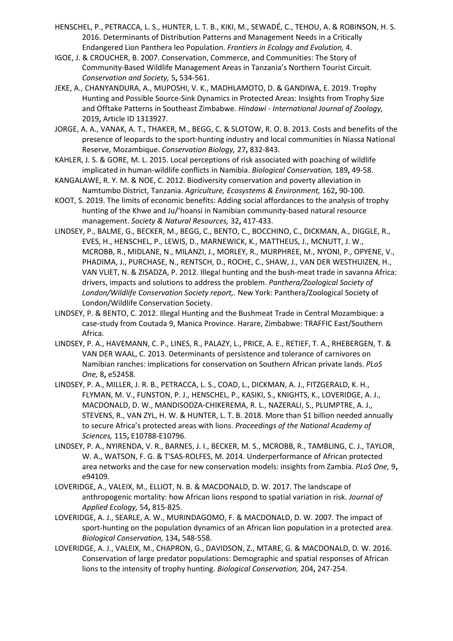- HENSCHEL, P., PETRACCA, L. S., HUNTER, L. T. B., KIKI, M., SEWADÉ, C., TEHOU, A. & ROBINSON, H. S. 2016. Determinants of Distribution Patterns and Management Needs in a Critically Endangered Lion Panthera leo Population. *Frontiers in Ecology and Evolution,* 4.
- IGOE, J. & CROUCHER, B. 2007. Conservation, Commerce, and Communities: The Story of Community-Based Wildlife Management Areas in Tanzania's Northern Tourist Circuit. *Conservation and Society,* 5**,** 534-561.
- JEKE, A., CHANYANDURA, A., MUPOSHI, V. K., MADHLAMOTO, D. & GANDIWA, E. 2019. Trophy Hunting and Possible Source-Sink Dynamics in Protected Areas: Insights from Trophy Size and Offtake Patterns in Southeast Zimbabwe. *Hindawi - International Journal of Zoology,* 2019**,** Article ID 1313927.
- JORGE, A. A., VANAK, A. T., THAKER, M., BEGG, C. & SLOTOW, R. O. B. 2013. Costs and benefits of the presence of leopards to the sport-hunting industry and local communities in Niassa National Reserve, Mozambique. *Conservation Biology,* 27**,** 832-843.
- KAHLER, J. S. & GORE, M. L. 2015. Local perceptions of risk associated with poaching of wildlife implicated in human-wildlife conflicts in Namibia. *Biological Conservation,* 189**,** 49-58.
- KANGALAWE, R. Y. M. & NOE, C. 2012. Biodiversity conservation and poverty alleviation in Namtumbo District, Tanzania. *Agriculture, Ecosystems & Environment,* 162**,** 90-100.
- KOOT, S. 2019. The limits of economic benefits: Adding social affordances to the analysis of trophy hunting of the Khwe and Ju/'hoansi in Namibian community-based natural resource management. *Society & Natural Resources,* 32**,** 417-433.
- LINDSEY, P., BALME, G., BECKER, M., BEGG, C., BENTO, C., BOCCHINO, C., DICKMAN, A., DIGGLE, R., EVES, H., HENSCHEL, P., LEWIS, D., MARNEWICK, K., MATTHEUS, J., MCNUTT, J. W., MCROBB, R., MIDLANE, N., MILANZI, J., MORLEY, R., MURPHREE, M., NYONI, P., OPYENE, V., PHADIMA, J., PURCHASE, N., RENTSCH, D., ROCHE, C., SHAW, J., VAN DER WESTHUIZEN, H., VAN VLIET, N. & ZISADZA, P. 2012. Illegal hunting and the bush-meat trade in savanna Africa: drivers, impacts and solutions to address the problem. *Panthera/Zoological Society of London/Wildlife Conservation Society report,.* New York: Panthera/Zoological Society of London/Wildlife Conservation Society.
- LINDSEY, P. & BENTO, C. 2012. Illegal Hunting and the Bushmeat Trade in Central Mozambique: a case-study from Coutada 9, Manica Province. Harare, Zimbabwe: TRAFFIC East/Southern Africa.
- LINDSEY, P. A., HAVEMANN, C. P., LINES, R., PALAZY, L., PRICE, A. E., RETIEF, T. A., RHEBERGEN, T. & VAN DER WAAL, C. 2013. Determinants of persistence and tolerance of carnivores on Namibian ranches: implications for conservation on Southern African private lands. *PLoS One,* 8**,** e52458.
- LINDSEY, P. A., MILLER, J. R. B., PETRACCA, L. S., COAD, L., DICKMAN, A. J., FITZGERALD, K. H., FLYMAN, M. V., FUNSTON, P. J., HENSCHEL, P., KASIKI, S., KNIGHTS, K., LOVERIDGE, A. J., MACDONALD, D. W., MANDISODZA-CHIKEREMA, R. L., NAZERALI, S., PLUMPTRE, A. J., STEVENS, R., VAN ZYL, H. W. & HUNTER, L. T. B. 2018. More than \$1 billion needed annually to secure Africa's protected areas with lions. *Proceedings of the National Academy of Sciences,* 115**,** E10788-E10796.
- LINDSEY, P. A., NYIRENDA, V. R., BARNES, J. I., BECKER, M. S., MCROBB, R., TAMBLING, C. J., TAYLOR, W. A., WATSON, F. G. & T'SAS-ROLFES, M. 2014. Underperformance of African protected area networks and the case for new conservation models: insights from Zambia. *PLoS One,* 9**,** e94109.
- LOVERIDGE, A., VALEIX, M., ELLIOT, N. B. & MACDONALD, D. W. 2017. The landscape of anthropogenic mortality: how African lions respond to spatial variation in risk. *Journal of Applied Ecology,* 54**,** 815-825.
- LOVERIDGE, A. J., SEARLE, A. W., MURINDAGOMO, F. & MACDONALD, D. W. 2007. The impact of sport-hunting on the population dynamics of an African lion population in a protected area. *Biological Conservation,* 134**,** 548-558.
- LOVERIDGE, A. J., VALEIX, M., CHAPRON, G., DAVIDSON, Z., MTARE, G. & MACDONALD, D. W. 2016. Conservation of large predator populations: Demographic and spatial responses of African lions to the intensity of trophy hunting. *Biological Conservation,* 204**,** 247-254.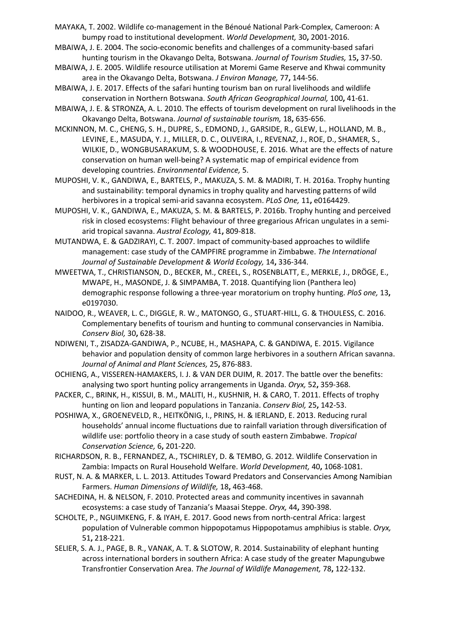- MAYAKA, T. 2002. Wildlife co-management in the Bénoué National Park-Complex, Cameroon: A bumpy road to institutional development. *World Development,* 30**,** 2001-2016.
- MBAIWA, J. E. 2004. The socio-economic benefits and challenges of a community-based safari hunting tourism in the Okavango Delta, Botswana. *Journal of Tourism Studies,* 15**,** 37-50.
- MBAIWA, J. E. 2005. Wildlife resource utilisation at Moremi Game Reserve and Khwai community area in the Okavango Delta, Botswana. *J Environ Manage,* 77**,** 144-56.
- MBAIWA, J. E. 2017. Effects of the safari hunting tourism ban on rural livelihoods and wildlife conservation in Northern Botswana. *South African Geographical Journal,* 100**,** 41-61.
- MBAIWA, J. E. & STRONZA, A. L. 2010. The effects of tourism development on rural livelihoods in the Okavango Delta, Botswana. *Journal of sustainable tourism,* 18**,** 635-656.
- MCKINNON, M. C., CHENG, S. H., DUPRE, S., EDMOND, J., GARSIDE, R., GLEW, L., HOLLAND, M. B., LEVINE, E., MASUDA, Y. J., MILLER, D. C., OLIVEIRA, I., REVENAZ, J., ROE, D., SHAMER, S., WILKIE, D., WONGBUSARAKUM, S. & WOODHOUSE, E. 2016. What are the effects of nature conservation on human well-being? A systematic map of empirical evidence from developing countries. *Environmental Evidence,* 5.
- MUPOSHI, V. K., GANDIWA, E., BARTELS, P., MAKUZA, S. M. & MADIRI, T. H. 2016a. Trophy hunting and sustainability: temporal dynamics in trophy quality and harvesting patterns of wild herbivores in a tropical semi-arid savanna ecosystem. *PLoS One,* 11**,** e0164429.
- MUPOSHI, V. K., GANDIWA, E., MAKUZA, S. M. & BARTELS, P. 2016b. Trophy hunting and perceived risk in closed ecosystems: Flight behaviour of three gregarious African ungulates in a semiarid tropical savanna. *Austral Ecology,* 41**,** 809-818.
- MUTANDWA, E. & GADZIRAYI, C. T. 2007. Impact of community-based approaches to wildlife management: case study of the CAMPFIRE programme in Zimbabwe. *The International Journal of Sustainable Development & World Ecology,* 14**,** 336-344.
- MWEETWA, T., CHRISTIANSON, D., BECKER, M., CREEL, S., ROSENBLATT, E., MERKLE, J., DRÖGE, E., MWAPE, H., MASONDE, J. & SIMPAMBA, T. 2018. Quantifying lion (Panthera leo) demographic response following a three-year moratorium on trophy hunting. *PloS one,* 13**,** e0197030.
- NAIDOO, R., WEAVER, L. C., DIGGLE, R. W., MATONGO, G., STUART-HILL, G. & THOULESS, C. 2016. Complementary benefits of tourism and hunting to communal conservancies in Namibia. *Conserv Biol,* 30**,** 628-38.
- NDIWENI, T., ZISADZA-GANDIWA, P., NCUBE, H., MASHAPA, C. & GANDIWA, E. 2015. Vigilance behavior and population density of common large herbivores in a southern African savanna. *Journal of Animal and Plant Sciences,* 25**,** 876-883.
- OCHIENG, A., VISSEREN-HAMAKERS, I. J. & VAN DER DUIM, R. 2017. The battle over the benefits: analysing two sport hunting policy arrangements in Uganda. *Oryx,* 52**,** 359-368.
- PACKER, C., BRINK, H., KISSUI, B. M., MALITI, H., KUSHNIR, H. & CARO, T. 2011. Effects of trophy hunting on lion and leopard populations in Tanzania. *Conserv Biol,* 25**,** 142-53.
- POSHIWA, X., GROENEVELD, R., HEITKÖNIG, I., PRINS, H. & IERLAND, E. 2013. Reducing rural households' annual income fluctuations due to rainfall variation through diversification of wildlife use: portfolio theory in a case study of south eastern Zimbabwe. *Tropical Conservation Science,* 6**,** 201-220.
- RICHARDSON, R. B., FERNANDEZ, A., TSCHIRLEY, D. & TEMBO, G. 2012. Wildlife Conservation in Zambia: Impacts on Rural Household Welfare. *World Development,* 40**,** 1068-1081.
- RUST, N. A. & MARKER, L. L. 2013. Attitudes Toward Predators and Conservancies Among Namibian Farmers. *Human Dimensions of Wildlife,* 18**,** 463-468.
- SACHEDINA, H. & NELSON, F. 2010. Protected areas and community incentives in savannah ecosystems: a case study of Tanzania's Maasai Steppe. *Oryx,* 44**,** 390-398.
- SCHOLTE, P., NGUIMKENG, F. & IYAH, E. 2017. Good news from north-central Africa: largest population of Vulnerable common hippopotamus Hippopotamus amphibius is stable. *Oryx,* 51**,** 218-221.
- SELIER, S. A. J., PAGE, B. R., VANAK, A. T. & SLOTOW, R. 2014. Sustainability of elephant hunting across international borders in southern Africa: A case study of the greater Mapungubwe Transfrontier Conservation Area. *The Journal of Wildlife Management,* 78**,** 122-132.